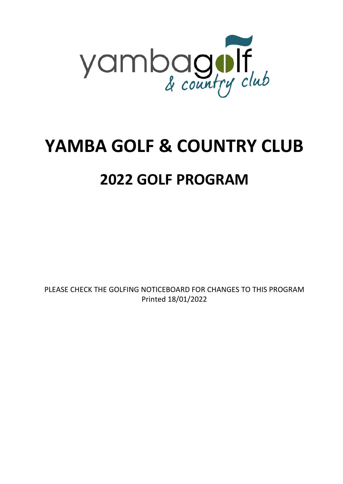

## **YAMBA GOLF & COUNTRY CLUB**

### **2022 GOLF PROGRAM**

PLEASE CHECK THE GOLFING NOTICEBOARD FOR CHANGES TO THIS PROGRAM Printed 18/01/2022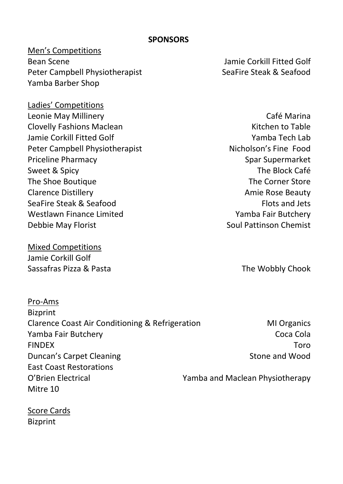#### **SPONSORS**

#### Men's Competitions Bean Scene Jamie Corkill Fitted Golf Peter Campbell Physiotherapist SeaFire Steak & Seafood Yamba Barber Shop

Ladies' Competitions Leonie May Millinery **Café Marina** Clovelly Fashions Maclean Kitchen to Table Jamie Corkill Fitted Golf Yamba Tech Lab Peter Campbell Physiotherapist Nicholson's Fine Food Priceline Pharmacy **Spar Supermarket** Spar Supermarket Sweet & Spicy The Block Café The Shoe Boutique The Corner Store Clarence Distillery **Amie Rose Beauty** Clarence Distillery SeaFire Steak & Seafood **Flots** and Jets Westlawn Finance Limited Westlawn Finance Limited Debbie May Florist Soul Pattinson Chemist Elders Real Estate Yamba Physiotherapy Soul Pattinson Chemist

Mixed Competitions Jamie Corkill Golf Sassafras Pizza & Pasta The Wobbly Chook

| Pro-Ams                                         |                                 |
|-------------------------------------------------|---------------------------------|
| <b>Bizprint</b>                                 |                                 |
| Clarence Coast Air Conditioning & Refrigeration | <b>MI Organics</b>              |
| Yamba Fair Butchery                             | Coca Cola                       |
| <b>FINDEX</b>                                   | Toro                            |
| Duncan's Carpet Cleaning                        | Stone and Wood                  |
| <b>East Coast Restorations</b>                  |                                 |
| O'Brien Electrical                              | Yamba and Maclean Physiotherapy |
| Mitre 10                                        |                                 |

Score Cards **Bizprint**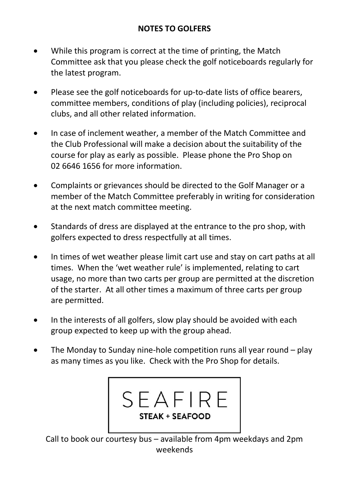#### **NOTES TO GOLFERS**

- While this program is correct at the time of printing, the Match Committee ask that you please check the golf noticeboards regularly for the latest program.
- Please see the golf noticeboards for up-to-date lists of office bearers, committee members, conditions of play (including policies), reciprocal clubs, and all other related information.
- In case of inclement weather, a member of the Match Committee and the Club Professional will make a decision about the suitability of the course for play as early as possible. Please phone the Pro Shop on 02 6646 1656 for more information.
- Complaints or grievances should be directed to the Golf Manager or a member of the Match Committee preferably in writing for consideration at the next match committee meeting.
- Standards of dress are displayed at the entrance to the pro shop, with golfers expected to dress respectfully at all times.
- In times of wet weather please limit cart use and stay on cart paths at all times. When the 'wet weather rule' is implemented, relating to cart usage, no more than two carts per group are permitted at the discretion of the starter. At all other times a maximum of three carts per group are permitted.
- In the interests of all golfers, slow play should be avoided with each group expected to keep up with the group ahead.
- The Monday to Sunday nine-hole competition runs all year round play as many times as you like. Check with the Pro Shop for details.



Call to book our courtesy bus – available from 4pm weekdays and 2pm weekends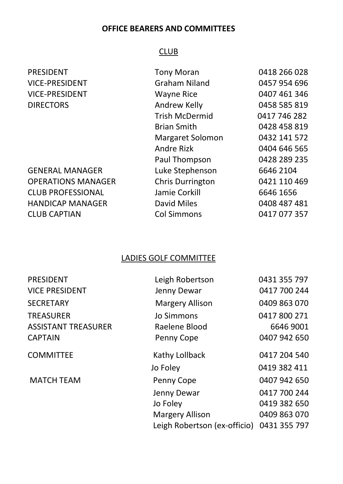#### **OFFICE BEARERS AND COMMITTEES**

#### CLUB

| PRESIDENT                 | <b>Tony Moran</b>       | 0418 266 028 |
|---------------------------|-------------------------|--------------|
| <b>VICE-PRESIDENT</b>     | Graham Niland           | 0457 954 696 |
| <b>VICE-PRESIDENT</b>     | <b>Wayne Rice</b>       | 0407 461 346 |
| <b>DIRECTORS</b>          | Andrew Kelly            | 0458 585 819 |
|                           | <b>Trish McDermid</b>   | 0417 746 282 |
|                           | <b>Brian Smith</b>      | 0428 458 819 |
|                           | Margaret Solomon        | 0432 141 572 |
|                           | Andre Rizk              | 0404 646 565 |
|                           | Paul Thompson           | 0428 289 235 |
| <b>GENERAL MANAGER</b>    | Luke Stephenson         | 6646 2104    |
| <b>OPERATIONS MANAGER</b> | <b>Chris Durrington</b> | 0421 110 469 |
| <b>CLUB PROFESSIONAL</b>  | Jamie Corkill           | 6646 1656    |
| <b>HANDICAP MANAGER</b>   | David Miles             | 0408 487 481 |
| <b>CLUB CAPTIAN</b>       | <b>Col Simmons</b>      | 0417 077 357 |

#### LADIES GOLF COMMITTEE

| <b>PRESIDENT</b>           | Leigh Robertson              | 0431 355 797 |
|----------------------------|------------------------------|--------------|
| <b>VICE PRESIDENT</b>      | Jenny Dewar                  | 0417 700 244 |
| <b>SECRETARY</b>           | Margery Allison              | 0409 863 070 |
| <b>TREASURER</b>           | Jo Simmons                   | 0417 800 271 |
| <b>ASSISTANT TREASURER</b> | Raelene Blood                | 6646 9001    |
| <b>CAPTAIN</b>             | Penny Cope                   | 0407 942 650 |
| <b>COMMITTEE</b>           | Kathy Lollback               | 0417 204 540 |
|                            | Jo Foley                     | 0419 382 411 |
| <b>MATCH TEAM</b>          | Penny Cope                   | 0407 942 650 |
|                            | Jenny Dewar                  | 0417 700 244 |
|                            | Jo Foley                     | 0419 382 650 |
|                            | <b>Margery Allison</b>       | 0409 863 070 |
|                            | Leigh Robertson (ex-officio) | 0431 355 797 |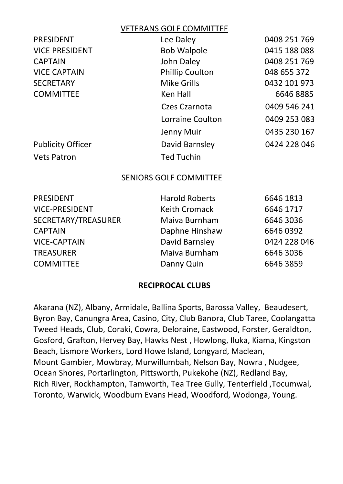#### VETERANS GOLF COMMITTEE

| PRESIDENT                | Lee Daley              | 0408 251 769 |
|--------------------------|------------------------|--------------|
| <b>VICE PRESIDENT</b>    | <b>Bob Walpole</b>     | 0415 188 088 |
| <b>CAPTAIN</b>           | John Daley             | 0408 251 769 |
| <b>VICE CAPTAIN</b>      | <b>Phillip Coulton</b> | 048 655 372  |
| <b>SECRETARY</b>         | <b>Mike Grills</b>     | 0432 101 973 |
| <b>COMMITTEE</b>         | Ken Hall               | 66468885     |
|                          | Czes Czarnota          | 0409 546 241 |
|                          | Lorraine Coulton       | 0409 253 083 |
|                          | Jenny Muir             | 0435 230 167 |
| <b>Publicity Officer</b> | David Barnsley         | 0424 228 046 |
| <b>Vets Patron</b>       | <b>Ted Tuchin</b>      |              |

#### SENIORS GOLF COMMITTEE

| PRESIDENT           | <b>Harold Roberts</b> | 6646 1813    |
|---------------------|-----------------------|--------------|
| VICE-PRESIDENT      | Keith Cromack         | 6646 1717    |
| SECRETARY/TREASURER | Maiva Burnham         | 6646 3036    |
| <b>CAPTAIN</b>      | Daphne Hinshaw        | 6646 0392    |
| <b>VICE-CAPTAIN</b> | David Barnsley        | 0424 228 046 |
| <b>TREASURER</b>    | Maiva Burnham         | 6646 3036    |
| <b>COMMITTEE</b>    | Danny Quin            | 6646 3859    |
|                     |                       |              |

#### **RECIPROCAL CLUBS**

Akarana (NZ), Albany, Armidale, Ballina Sports, Barossa Valley, Beaudesert, Byron Bay, Canungra Area, Casino, City, Club Banora, Club Taree, Coolangatta Tweed Heads, Club, Coraki, Cowra, Deloraine, Eastwood, Forster, Geraldton, Gosford, Grafton, Hervey Bay, Hawks Nest , Howlong, Iluka, Kiama, Kingston Beach, Lismore Workers, Lord Howe Island, Longyard, Maclean, Mount Gambier, Mowbray, Murwillumbah, Nelson Bay, Nowra , Nudgee, Ocean Shores, Portarlington, Pittsworth, Pukekohe (NZ), Redland Bay, Rich River, Rockhampton, Tamworth, Tea Tree Gully, Tenterfield ,Tocumwal, Toronto, Warwick, Woodburn Evans Head, Woodford, Wodonga, Young.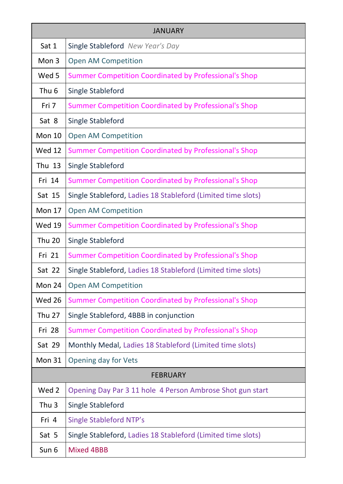| <b>JANUARY</b>   |                                                              |  |
|------------------|--------------------------------------------------------------|--|
| Sat 1            | Single Stableford New Year's Day                             |  |
| Mon 3            | Open AM Competition                                          |  |
| Wed 5            | <b>Summer Competition Coordinated by Professional's Shop</b> |  |
| Thu <sub>6</sub> | Single Stableford                                            |  |
| Fri 7            | <b>Summer Competition Coordinated by Professional's Shop</b> |  |
| Sat 8            | Single Stableford                                            |  |
| Mon 10           | Open AM Competition                                          |  |
| <b>Wed 12</b>    | <b>Summer Competition Coordinated by Professional's Shop</b> |  |
| Thu 13           | Single Stableford                                            |  |
| Fri 14           | <b>Summer Competition Coordinated by Professional's Shop</b> |  |
| Sat 15           | Single Stableford, Ladies 18 Stableford (Limited time slots) |  |
| <b>Mon 17</b>    | Open AM Competition                                          |  |
| <b>Wed 19</b>    | Summer Competition Coordinated by Professional's Shop        |  |
| <b>Thu 20</b>    | Single Stableford                                            |  |
| Fri 21           | <b>Summer Competition Coordinated by Professional's Shop</b> |  |
| Sat 22           | Single Stableford, Ladies 18 Stableford (Limited time slots) |  |
| Mon 24           | Open AM Competition                                          |  |
| <b>Wed 26</b>    | <b>Summer Competition Coordinated by Professional's Shop</b> |  |
| <b>Thu 27</b>    | Single Stableford, 4BBB in conjunction                       |  |
| Fri 28           | Summer Competition Coordinated by Professional's Shop        |  |
| Sat 29           | Monthly Medal, Ladies 18 Stableford (Limited time slots)     |  |
| <b>Mon 31</b>    | Opening day for Vets                                         |  |
| <b>FEBRUARY</b>  |                                                              |  |
| Wed 2            | Opening Day Par 3 11 hole 4 Person Ambrose Shot gun start    |  |
| Thu <sub>3</sub> | Single Stableford                                            |  |
| Fri 4            | <b>Single Stableford NTP's</b>                               |  |
| Sat 5            | Single Stableford, Ladies 18 Stableford (Limited time slots) |  |
| Sun 6            | Mixed 4BBB                                                   |  |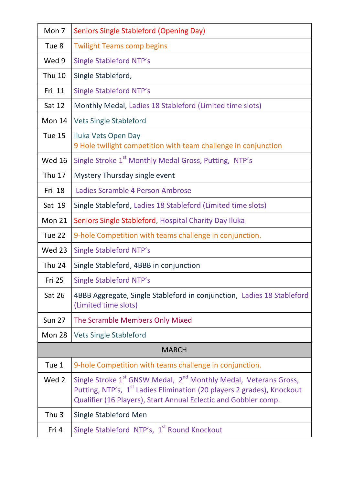| Mon 7            | <b>Seniors Single Stableford (Opening Day)</b>                                                                                                                                                                                                    |  |
|------------------|---------------------------------------------------------------------------------------------------------------------------------------------------------------------------------------------------------------------------------------------------|--|
| Tue 8            | <b>Twilight Teams comp begins</b>                                                                                                                                                                                                                 |  |
| Wed 9            | <b>Single Stableford NTP's</b>                                                                                                                                                                                                                    |  |
| <b>Thu 10</b>    | Single Stableford,                                                                                                                                                                                                                                |  |
| Fri 11           | <b>Single Stableford NTP's</b>                                                                                                                                                                                                                    |  |
| Sat 12           | Monthly Medal, Ladies 18 Stableford (Limited time slots)                                                                                                                                                                                          |  |
| Mon 14           | <b>Vets Single Stableford</b>                                                                                                                                                                                                                     |  |
| Tue 15           | Iluka Vets Open Day<br>9 Hole twilight competition with team challenge in conjunction                                                                                                                                                             |  |
| <b>Wed 16</b>    | Single Stroke 1 <sup>st</sup> Monthly Medal Gross, Putting, NTP's                                                                                                                                                                                 |  |
| <b>Thu 17</b>    | Mystery Thursday single event                                                                                                                                                                                                                     |  |
| Fri 18           | Ladies Scramble 4 Person Ambrose                                                                                                                                                                                                                  |  |
| Sat 19           | Single Stableford, Ladies 18 Stableford (Limited time slots)                                                                                                                                                                                      |  |
| Mon 21           | Seniors Single Stableford, Hospital Charity Day Iluka                                                                                                                                                                                             |  |
| Tue 22           | 9-hole Competition with teams challenge in conjunction.                                                                                                                                                                                           |  |
| <b>Wed 23</b>    | <b>Single Stableford NTP's</b>                                                                                                                                                                                                                    |  |
| <b>Thu 24</b>    | Single Stableford, 4BBB in conjunction                                                                                                                                                                                                            |  |
| <b>Fri 25</b>    | <b>Single Stableford NTP's</b>                                                                                                                                                                                                                    |  |
| Sat 26           | 4BBB Aggregate, Single Stableford in conjunction, Ladies 18 Stableford<br>(Limited time slots)                                                                                                                                                    |  |
| <b>Sun 27</b>    | The Scramble Members Only Mixed                                                                                                                                                                                                                   |  |
| Mon 28           | <b>Vets Single Stableford</b>                                                                                                                                                                                                                     |  |
| <b>MARCH</b>     |                                                                                                                                                                                                                                                   |  |
| Tue 1            | 9-hole Competition with teams challenge in conjunction.                                                                                                                                                                                           |  |
| Wed 2            | Single Stroke 1 <sup>st</sup> GNSW Medal, 2 <sup>nd</sup> Monthly Medal, Veterans Gross,<br>Putting, NTP's, 1 <sup>st</sup> Ladies Elimination (20 players 2 grades), Knockout<br>Qualifier (16 Players), Start Annual Eclectic and Gobbler comp. |  |
| Thu <sub>3</sub> | Single Stableford Men                                                                                                                                                                                                                             |  |
| Fri 4            | Single Stableford NTP's, 1 <sup>st</sup> Round Knockout                                                                                                                                                                                           |  |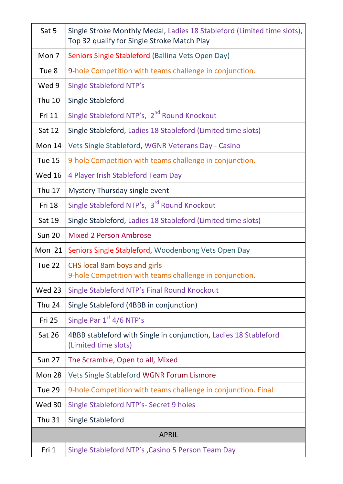| Sat 5         | Single Stroke Monthly Medal, Ladies 18 Stableford (Limited time slots),<br>Top 32 qualify for Single Stroke Match Play |
|---------------|------------------------------------------------------------------------------------------------------------------------|
| Mon 7         | Seniors Single Stableford (Ballina Vets Open Day)                                                                      |
| Tue 8         | 9-hole Competition with teams challenge in conjunction.                                                                |
| Wed 9         | <b>Single Stableford NTP's</b>                                                                                         |
| <b>Thu 10</b> | Single Stableford                                                                                                      |
| Fri 11        | Single Stableford NTP's, 2 <sup>nd</sup> Round Knockout                                                                |
| Sat 12        | Single Stableford, Ladies 18 Stableford (Limited time slots)                                                           |
| Mon 14        | Vets Single Stableford, WGNR Veterans Day - Casino                                                                     |
| <b>Tue 15</b> | 9-hole Competition with teams challenge in conjunction.                                                                |
| <b>Wed 16</b> | 4 Player Irish Stableford Team Day                                                                                     |
| Thu 17        | Mystery Thursday single event                                                                                          |
| Fri 18        | Single Stableford NTP's, 3 <sup>rd</sup> Round Knockout                                                                |
| Sat 19        | Single Stableford, Ladies 18 Stableford (Limited time slots)                                                           |
| <b>Sun 20</b> | <b>Mixed 2 Person Ambrose</b>                                                                                          |
| Mon 21        | Seniors Single Stableford, Woodenbong Vets Open Day                                                                    |
| Tue 22        | CHS local 8am boys and girls<br>9-hole Competition with teams challenge in conjunction.                                |
| Wed 23        | Single Stableford NTP's Final Round Knockout                                                                           |
| <b>Thu 24</b> | Single Stableford (4BBB in conjunction)                                                                                |
| <b>Fri 25</b> | Single Par 1 <sup>st</sup> 4/6 NTP's                                                                                   |
| <b>Sat 26</b> | 4BBB stableford with Single in conjunction, Ladies 18 Stableford<br>(Limited time slots)                               |
| <b>Sun 27</b> | The Scramble, Open to all, Mixed                                                                                       |
| Mon 28        | Vets Single Stableford WGNR Forum Lismore                                                                              |
| Tue 29        | 9-hole Competition with teams challenge in conjunction. Final                                                          |
| Wed 30        | Single Stableford NTP's- Secret 9 holes                                                                                |
| <b>Thu 31</b> | Single Stableford                                                                                                      |
|               | <b>APRIL</b>                                                                                                           |
| Fri 1         | Single Stableford NTP's , Casino 5 Person Team Day                                                                     |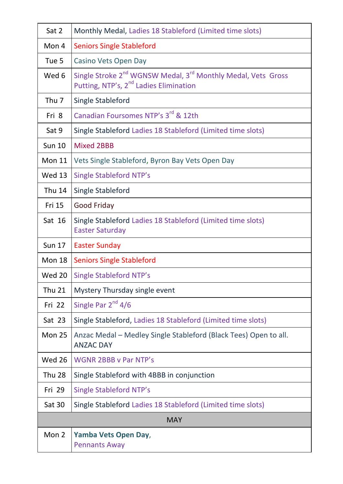| Sat 2            | Monthly Medal, Ladies 18 Stableford (Limited time slots)                                                                                   |
|------------------|--------------------------------------------------------------------------------------------------------------------------------------------|
| Mon 4            | <b>Seniors Single Stableford</b>                                                                                                           |
| Tue 5            | Casino Vets Open Day                                                                                                                       |
| Wed 6            | Single Stroke 2 <sup>nd</sup> WGNSW Medal, 3 <sup>rd</sup> Monthly Medal, Vets Gross<br>Putting, NTP's, 2 <sup>nd</sup> Ladies Elimination |
| Thu <sub>7</sub> | Single Stableford                                                                                                                          |
| Fri 8            | Canadian Foursomes NTP's 3 <sup>rd</sup> & 12th                                                                                            |
| Sat 9            | Single Stableford Ladies 18 Stableford (Limited time slots)                                                                                |
| <b>Sun 10</b>    | <b>Mixed 2BBB</b>                                                                                                                          |
| Mon 11           | Vets Single Stableford, Byron Bay Vets Open Day                                                                                            |
| <b>Wed 13</b>    | <b>Single Stableford NTP's</b>                                                                                                             |
| <b>Thu 14</b>    | Single Stableford                                                                                                                          |
| Fri 15           | Good Friday                                                                                                                                |
| Sat 16           | Single Stableford Ladies 18 Stableford (Limited time slots)<br><b>Easter Saturday</b>                                                      |
| <b>Sun 17</b>    | <b>Easter Sunday</b>                                                                                                                       |
| Mon 18           | <b>Seniors Single Stableford</b>                                                                                                           |
| <b>Wed 20</b>    | <b>Single Stableford NTP's</b>                                                                                                             |
| <b>Thu 21</b>    | Mystery Thursday single event                                                                                                              |
| Fri 22           | Single Par 2 <sup>nd</sup> 4/6                                                                                                             |
| Sat 23           | Single Stableford, Ladies 18 Stableford (Limited time slots)                                                                               |
| Mon 25           | Anzac Medal - Medley Single Stableford (Black Tees) Open to all.                                                                           |
|                  | <b>ANZAC DAY</b>                                                                                                                           |
| <b>Wed 26</b>    | <b>WGNR 2BBB v Par NTP's</b>                                                                                                               |
| <b>Thu 28</b>    | Single Stableford with 4BBB in conjunction                                                                                                 |
| Fri 29           | Single Stableford NTP's                                                                                                                    |
| Sat 30           | Single Stableford Ladies 18 Stableford (Limited time slots)                                                                                |
|                  | <b>MAY</b>                                                                                                                                 |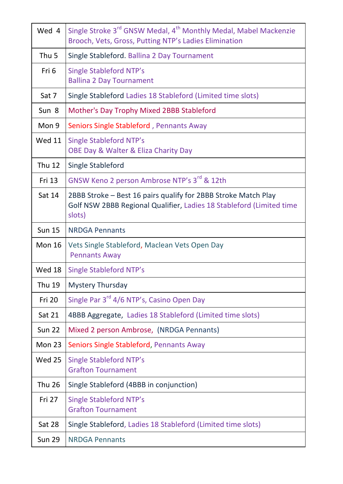| Wed 4         | Single Stroke 3 <sup>rd</sup> GNSW Medal, 4 <sup>th</sup> Monthly Medal, Mabel Mackenzie<br>Brooch, Vets, Gross, Putting NTP's Ladies Elimination |
|---------------|---------------------------------------------------------------------------------------------------------------------------------------------------|
| Thu 5         | Single Stableford. Ballina 2 Day Tournament                                                                                                       |
| Fri 6         | Single Stableford NTP's<br><b>Ballina 2 Day Tournament</b>                                                                                        |
| Sat 7         | Single Stableford Ladies 18 Stableford (Limited time slots)                                                                                       |
| Sun 8         | Mother's Day Trophy Mixed 2BBB Stableford                                                                                                         |
| Mon 9         | Seniors Single Stableford, Pennants Away                                                                                                          |
| <b>Wed 11</b> | <b>Single Stableford NTP's</b><br>OBE Day & Walter & Eliza Charity Day                                                                            |
| <b>Thu 12</b> | Single Stableford                                                                                                                                 |
| Fri 13        | GNSW Keno 2 person Ambrose NTP's 3rd & 12th                                                                                                       |
| Sat 14        | 2BBB Stroke - Best 16 pairs qualify for 2BBB Stroke Match Play<br>Golf NSW 2BBB Regional Qualifier, Ladies 18 Stableford (Limited time<br>slots)  |
| <b>Sun 15</b> | <b>NRDGA Pennants</b>                                                                                                                             |
| <b>Mon 16</b> | Vets Single Stableford, Maclean Vets Open Day<br><b>Pennants Away</b>                                                                             |
| Wed 18        | <b>Single Stableford NTP's</b>                                                                                                                    |
| Thu 19        | <b>Mystery Thursday</b>                                                                                                                           |
| Fri 20        | Single Par 3 <sup>rd</sup> 4/6 NTP's, Casino Open Day                                                                                             |
| Sat 21        | 4BBB Aggregate, Ladies 18 Stableford (Limited time slots)                                                                                         |
| <b>Sun 22</b> | Mixed 2 person Ambrose, (NRDGA Pennants)                                                                                                          |
| Mon 23        | Seniors Single Stableford, Pennants Away                                                                                                          |
| <b>Wed 25</b> | <b>Single Stableford NTP's</b><br><b>Grafton Tournament</b>                                                                                       |
| <b>Thu 26</b> | Single Stableford (4BBB in conjunction)                                                                                                           |
| Fri 27        | Single Stableford NTP's<br><b>Grafton Tournament</b>                                                                                              |
| Sat 28        | Single Stableford, Ladies 18 Stableford (Limited time slots)                                                                                      |
| <b>Sun 29</b> | <b>NRDGA Pennants</b>                                                                                                                             |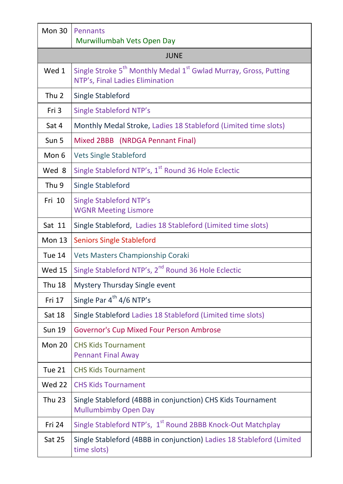| Mon 30           | Pennants<br>Murwillumbah Vets Open Day                                                                                      |  |
|------------------|-----------------------------------------------------------------------------------------------------------------------------|--|
| JUNE             |                                                                                                                             |  |
| Wed 1            | Single Stroke 5 <sup>th</sup> Monthly Medal 1 <sup>st</sup> Gwlad Murray, Gross, Putting<br>NTP's, Final Ladies Elimination |  |
| Thu <sub>2</sub> | Single Stableford                                                                                                           |  |
| Fri 3            | <b>Single Stableford NTP's</b>                                                                                              |  |
| Sat 4            | Monthly Medal Stroke, Ladies 18 Stableford (Limited time slots)                                                             |  |
| Sun 5            | Mixed 2BBB (NRDGA Pennant Final)                                                                                            |  |
| Mon 6            | <b>Vets Single Stableford</b>                                                                                               |  |
| Wed 8            | Single Stableford NTP's, 1 <sup>st</sup> Round 36 Hole Eclectic                                                             |  |
| Thu 9            | <b>Single Stableford</b>                                                                                                    |  |
| Fri 10           | <b>Single Stableford NTP's</b><br><b>WGNR Meeting Lismore</b>                                                               |  |
| Sat 11           | Single Stableford, Ladies 18 Stableford (Limited time slots)                                                                |  |
| Mon 13           | <b>Seniors Single Stableford</b>                                                                                            |  |
| Tue 14           | Vets Masters Championship Coraki                                                                                            |  |
| <b>Wed 15</b>    | Single Stableford NTP's, 2 <sup>nd</sup> Round 36 Hole Eclectic                                                             |  |
| <b>Thu 18</b>    | Mystery Thursday Single event                                                                                               |  |
| Fri 17           | Single Par 4 <sup>th</sup> 4/6 NTP's                                                                                        |  |
| <b>Sat 18</b>    | Single Stableford Ladies 18 Stableford (Limited time slots)                                                                 |  |
| <b>Sun 19</b>    | Governor's Cup Mixed Four Person Ambrose                                                                                    |  |
| Mon 20           | <b>CHS Kids Tournament</b><br><b>Pennant Final Away</b>                                                                     |  |
| Tue 21           | <b>CHS Kids Tournament</b>                                                                                                  |  |
| Wed 22           | <b>CHS Kids Tournament</b>                                                                                                  |  |
| <b>Thu 23</b>    | Single Stableford (4BBB in conjunction) CHS Kids Tournament<br>Mullumbimby Open Day                                         |  |
| Fri 24           | Single Stableford NTP's, 1 <sup>st</sup> Round 2BBB Knock-Out Matchplay                                                     |  |
| Sat 25           | Single Stableford (4BBB in conjunction) Ladies 18 Stableford (Limited<br>time slots)                                        |  |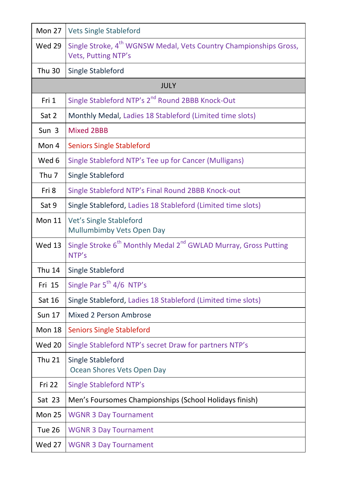| Mon 27           | <b>Vets Single Stableford</b>                                                                        |
|------------------|------------------------------------------------------------------------------------------------------|
| <b>Wed 29</b>    | Single Stroke, 4 <sup>th</sup> WGNSW Medal, Vets Country Championships Gross,<br>Vets, Putting NTP's |
| <b>Thu 30</b>    | Single Stableford                                                                                    |
|                  | <b>JULY</b>                                                                                          |
| Fri 1            | Single Stableford NTP's 2 <sup>nd</sup> Round 2BBB Knock-Out                                         |
| Sat 2            | Monthly Medal, Ladies 18 Stableford (Limited time slots)                                             |
| Sun 3            | Mixed 2BBB                                                                                           |
| Mon 4            | <b>Seniors Single Stableford</b>                                                                     |
| Wed 6            | Single Stableford NTP's Tee up for Cancer (Mulligans)                                                |
| Thu <sub>7</sub> | Single Stableford                                                                                    |
| Fri 8            | Single Stableford NTP's Final Round 2BBB Knock-out                                                   |
| Sat 9            | Single Stableford, Ladies 18 Stableford (Limited time slots)                                         |
| <b>Mon 11</b>    | Vet's Single Stableford<br>Mullumbimby Vets Open Day                                                 |
| <b>Wed 13</b>    | Single Stroke 6 <sup>th</sup> Monthly Medal 2 <sup>nd</sup> GWLAD Murray, Gross Putting<br>NTP's     |
| <b>Thu 14</b>    | Single Stableford                                                                                    |
| Fri 15           | Single Par 5 <sup>th</sup> 4/6 NTP's                                                                 |
| Sat 16           | Single Stableford, Ladies 18 Stableford (Limited time slots)                                         |
| <b>Sun 17</b>    | Mixed 2 Person Ambrose                                                                               |
| Mon 18           | <b>Seniors Single Stableford</b>                                                                     |
| <b>Wed 20</b>    | Single Stableford NTP's secret Draw for partners NTP's                                               |
| <b>Thu 21</b>    | Single Stableford<br>Ocean Shores Vets Open Day                                                      |
| Fri 22           | <b>Single Stableford NTP's</b>                                                                       |
| Sat 23           | Men's Foursomes Championships (School Holidays finish)                                               |
| <b>Mon 25</b>    | <b>WGNR 3 Day Tournament</b>                                                                         |
| Tue 26           | <b>WGNR 3 Day Tournament</b>                                                                         |
| <b>Wed 27</b>    | <b>WGNR 3 Day Tournament</b>                                                                         |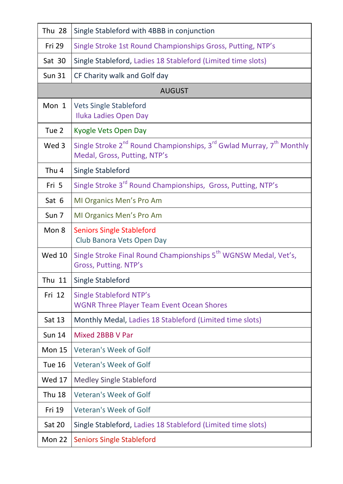| Thu 28        | Single Stableford with 4BBB in conjunction                                                                                               |
|---------------|------------------------------------------------------------------------------------------------------------------------------------------|
| Fri 29        | Single Stroke 1st Round Championships Gross, Putting, NTP's                                                                              |
| Sat 30        | Single Stableford, Ladies 18 Stableford (Limited time slots)                                                                             |
| <b>Sun 31</b> | CF Charity walk and Golf day                                                                                                             |
|               | <b>AUGUST</b>                                                                                                                            |
| Mon 1         | <b>Vets Single Stableford</b><br>Iluka Ladies Open Day                                                                                   |
| Tue 2         | Kyogle Vets Open Day                                                                                                                     |
| Wed 3         | Single Stroke 2 <sup>nd</sup> Round Championships, 3 <sup>rd</sup> Gwlad Murray, 7 <sup>th</sup> Monthly<br>Medal, Gross, Putting, NTP's |
| Thu 4         | Single Stableford                                                                                                                        |
| Fri 5         | Single Stroke 3 <sup>rd</sup> Round Championships, Gross, Putting, NTP's                                                                 |
| Sat 6         | MI Organics Men's Pro Am                                                                                                                 |
| Sun 7         | MI Organics Men's Pro Am                                                                                                                 |
| Mon 8         | <b>Seniors Single Stableford</b><br>Club Banora Vets Open Day                                                                            |
| <b>Wed 10</b> | Single Stroke Final Round Championships 5 <sup>th</sup> WGNSW Medal, Vet's,<br>Gross, Putting. NTP's                                     |
| Thu 11        | Single Stableford                                                                                                                        |
| Fri 12        | <b>Single Stableford NTP's</b><br><b>WGNR Three Player Team Event Ocean Shores</b>                                                       |
| Sat 13        | Monthly Medal, Ladies 18 Stableford (Limited time slots)                                                                                 |
| <b>Sun 14</b> | Mixed 2BBB V Par                                                                                                                         |
| <b>Mon 15</b> | Veteran's Week of Golf                                                                                                                   |
| <b>Tue 16</b> | <b>Veteran's Week of Golf</b>                                                                                                            |
| Wed 17        | Medley Single Stableford                                                                                                                 |
| <b>Thu 18</b> | Veteran's Week of Golf                                                                                                                   |
| Fri 19        | <b>Veteran's Week of Golf</b>                                                                                                            |
| <b>Sat 20</b> | Single Stableford, Ladies 18 Stableford (Limited time slots)                                                                             |
| Mon 22        | <b>Seniors Single Stableford</b>                                                                                                         |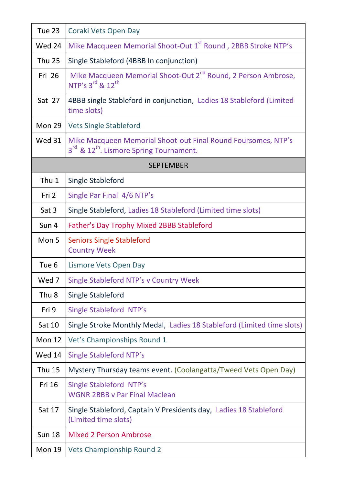| Tue 23           | Coraki Vets Open Day                                                                                                 |
|------------------|----------------------------------------------------------------------------------------------------------------------|
| Wed 24           | Mike Macqueen Memorial Shoot-Out 1 <sup>st</sup> Round, 2BBB Stroke NTP's                                            |
| <b>Thu 25</b>    | Single Stableford (4BBB In conjunction)                                                                              |
| Fri 26           | Mike Macqueen Memorial Shoot-Out 2 <sup>nd</sup> Round, 2 Person Ambrose,<br>NTP's 3rd & 12th                        |
| Sat 27           | 4BBB single Stableford in conjunction, Ladies 18 Stableford (Limited<br>time slots)                                  |
| Mon 29           | <b>Vets Single Stableford</b>                                                                                        |
| <b>Wed 31</b>    | Mike Macqueen Memorial Shoot-out Final Round Foursomes, NTP's<br>3rd & 12 <sup>th</sup> . Lismore Spring Tournament. |
|                  | <b>SEPTEMBER</b>                                                                                                     |
| Thu 1            | Single Stableford                                                                                                    |
| Fri 2            | Single Par Final 4/6 NTP's                                                                                           |
| Sat 3            | Single Stableford, Ladies 18 Stableford (Limited time slots)                                                         |
| Sun 4            | Father's Day Trophy Mixed 2BBB Stableford                                                                            |
| Mon 5            | <b>Seniors Single Stableford</b><br><b>Country Week</b>                                                              |
| Tue 6            | Lismore Vets Open Day                                                                                                |
| Wed 7            | Single Stableford NTP's v Country Week                                                                               |
| Thu <sub>8</sub> | Single Stableford                                                                                                    |
| Fri 9            | Single Stableford NTP's                                                                                              |
| Sat 10           | Single Stroke Monthly Medal, Ladies 18 Stableford (Limited time slots)                                               |
| Mon 12           | Vet's Championships Round 1                                                                                          |
| <b>Wed 14</b>    | <b>Single Stableford NTP's</b>                                                                                       |
| <b>Thu 15</b>    | Mystery Thursday teams event. (Coolangatta/Tweed Vets Open Day)                                                      |
| Fri 16           | Single Stableford NTP's<br><b>WGNR 2BBB v Par Final Maclean</b>                                                      |
| Sat 17           | Single Stableford, Captain V Presidents day, Ladies 18 Stableford<br>(Limited time slots)                            |
| <b>Sun 18</b>    | <b>Mixed 2 Person Ambrose</b>                                                                                        |
| Mon 19           | Vets Championship Round 2                                                                                            |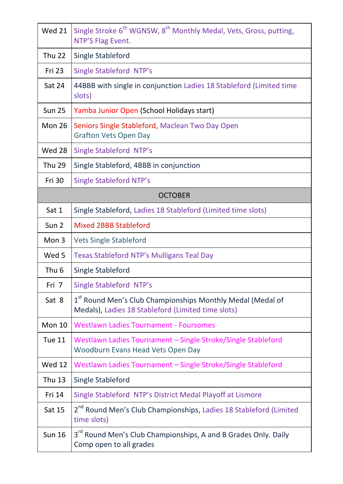| <b>Wed 21</b>    | Single Stroke 6 <sup>th</sup> WGNSW, 8 <sup>th</sup> Monthly Medal, Vets, Gross, putting,<br>NTP'S Flag Event.   |  |
|------------------|------------------------------------------------------------------------------------------------------------------|--|
| <b>Thu 22</b>    | Single Stableford                                                                                                |  |
| Fri 23           | Single Stableford NTP's                                                                                          |  |
| Sat 24           | 44BBB with single in conjunction Ladies 18 Stableford (Limited time<br>slots)                                    |  |
| <b>Sun 25</b>    | Yamba Junior Open (School Holidays start)                                                                        |  |
| Mon 26           | Seniors Single Stableford, Maclean Two Day Open<br><b>Grafton Vets Open Day</b>                                  |  |
| Wed 28           | Single Stableford NTP's                                                                                          |  |
| Thu 29           | Single Stableford, 4BBB in conjunction                                                                           |  |
| Fri 30           | <b>Single Stableford NTP's</b>                                                                                   |  |
| <b>OCTOBER</b>   |                                                                                                                  |  |
| Sat 1            | Single Stableford, Ladies 18 Stableford (Limited time slots)                                                     |  |
| Sun <sub>2</sub> | <b>Mixed 2BBB Stableford</b>                                                                                     |  |
| Mon 3            | <b>Vets Single Stableford</b>                                                                                    |  |
| Wed 5            | Texas Stableford NTP's Mulligans Teal Day                                                                        |  |
| Thu <sub>6</sub> | Single Stableford                                                                                                |  |
| Fri 7            | Single Stableford NTP's                                                                                          |  |
| Sat 8            | 1st Round Men's Club Championships Monthly Medal (Medal of<br>Medals), Ladies 18 Stableford (Limited time slots) |  |
| Mon 10           | <b>Westlawn Ladies Tournament - Foursomes</b>                                                                    |  |
| <b>Tue 11</b>    | Westlawn Ladies Tournament - Single Stroke/Single Stableford<br>Woodburn Evans Head Vets Open Day                |  |
| <b>Wed 12</b>    | Westlawn Ladies Tournament - Single Stroke/Single Stableford                                                     |  |
| Thu 13           | Single Stableford                                                                                                |  |
| Fri 14           | Single Stableford NTP's District Medal Playoff at Lismore                                                        |  |
| Sat 15           | 2 <sup>nd</sup> Round Men's Club Championships, Ladies 18 Stableford (Limited<br>time slots)                     |  |
| <b>Sun 16</b>    | 3 <sup>rd</sup> Round Men's Club Championships, A and B Grades Only. Daily<br>Comp open to all grades            |  |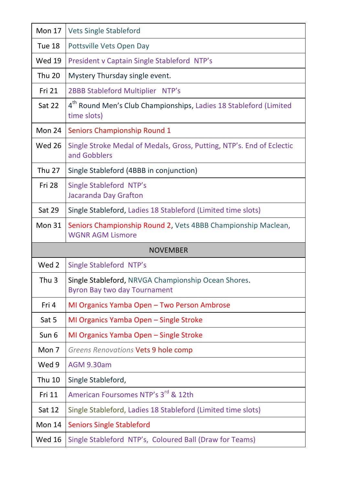| <b>Mon 17</b>    | <b>Vets Single Stableford</b>                                                                |
|------------------|----------------------------------------------------------------------------------------------|
| Tue 18           | Pottsville Vets Open Day                                                                     |
| <b>Wed 19</b>    | President v Captain Single Stableford NTP's                                                  |
| <b>Thu 20</b>    | Mystery Thursday single event.                                                               |
| Fri 21           | 2BBB Stableford Multiplier NTP's                                                             |
| Sat 22           | 4 <sup>th</sup> Round Men's Club Championships, Ladies 18 Stableford (Limited<br>time slots) |
| Mon 24           | Seniors Championship Round 1                                                                 |
| <b>Wed 26</b>    | Single Stroke Medal of Medals, Gross, Putting, NTP's. End of Eclectic<br>and Gobblers        |
| <b>Thu 27</b>    | Single Stableford (4BBB in conjunction)                                                      |
| <b>Fri 28</b>    | <b>Single Stableford NTP's</b><br>Jacaranda Day Grafton                                      |
| <b>Sat 29</b>    | Single Stableford, Ladies 18 Stableford (Limited time slots)                                 |
| Mon 31           | Seniors Championship Round 2, Vets 4BBB Championship Maclean,                                |
|                  | <b>WGNR AGM Lismore</b>                                                                      |
|                  | <b>NOVEMBER</b>                                                                              |
| Wed 2            | Single Stableford NTP's                                                                      |
| Thu <sub>3</sub> | Single Stableford, NRVGA Championship Ocean Shores.<br><b>Byron Bay two day Tournament</b>   |
| Fri 4            | MI Organics Yamba Open - Two Person Ambrose                                                  |
| Sat 5            | MI Organics Yamba Open - Single Stroke                                                       |
| Sun 6            | MI Organics Yamba Open - Single Stroke                                                       |
| Mon 7            | Greens Renovations Vets 9 hole comp                                                          |
| Wed 9            | <b>AGM 9.30am</b>                                                                            |
| <b>Thu 10</b>    | Single Stableford,                                                                           |
| Fri 11           | American Foursomes NTP's 3rd & 12th                                                          |
| Sat 12           | Single Stableford, Ladies 18 Stableford (Limited time slots)                                 |
| Mon 14           | <b>Seniors Single Stableford</b>                                                             |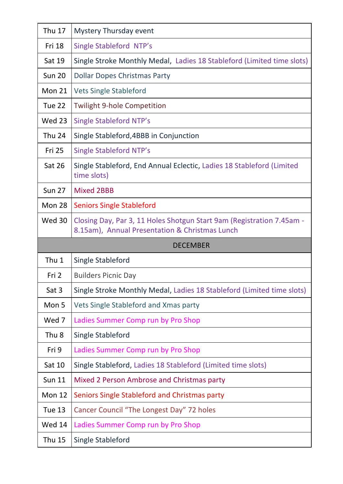| Thu 17           | Mystery Thursday event                                                                                                  |
|------------------|-------------------------------------------------------------------------------------------------------------------------|
| Fri 18           | Single Stableford NTP's                                                                                                 |
| Sat 19           | Single Stroke Monthly Medal, Ladies 18 Stableford (Limited time slots)                                                  |
| <b>Sun 20</b>    | Dollar Dopes Christmas Party                                                                                            |
| Mon 21           | <b>Vets Single Stableford</b>                                                                                           |
| Tue 22           | Twilight 9-hole Competition                                                                                             |
| <b>Wed 23</b>    | <b>Single Stableford NTP's</b>                                                                                          |
| Thu 24           | Single Stableford, 4BBB in Conjunction                                                                                  |
| <b>Fri 25</b>    | <b>Single Stableford NTP's</b>                                                                                          |
| Sat 26           | Single Stableford, End Annual Eclectic, Ladies 18 Stableford (Limited<br>time slots)                                    |
| <b>Sun 27</b>    | <b>Mixed 2BBB</b>                                                                                                       |
| Mon 28           | <b>Seniors Single Stableford</b>                                                                                        |
| <b>Wed 30</b>    | Closing Day, Par 3, 11 Holes Shotgun Start 9am (Registration 7.45am -<br>8.15am), Annual Presentation & Christmas Lunch |
|                  |                                                                                                                         |
|                  | <b>DECEMBER</b>                                                                                                         |
| Thu 1            | Single Stableford                                                                                                       |
| Fri 2            | <b>Builders Picnic Day</b>                                                                                              |
| Sat 3            | Single Stroke Monthly Medal, Ladies 18 Stableford (Limited time slots)                                                  |
| Mon 5            | Vets Single Stableford and Xmas party                                                                                   |
| Wed 7            | Ladies Summer Comp run by Pro Shop                                                                                      |
| Thu <sub>8</sub> | Single Stableford                                                                                                       |
| Fri 9            | Ladies Summer Comp run by Pro Shop                                                                                      |
| Sat 10           | Single Stableford, Ladies 18 Stableford (Limited time slots)                                                            |
| <b>Sun 11</b>    | Mixed 2 Person Ambrose and Christmas party                                                                              |
| <b>Mon 12</b>    | Seniors Single Stableford and Christmas party                                                                           |
| <b>Tue 13</b>    | Cancer Council "The Longest Day" 72 holes                                                                               |
| Wed 14           | Ladies Summer Comp run by Pro Shop                                                                                      |